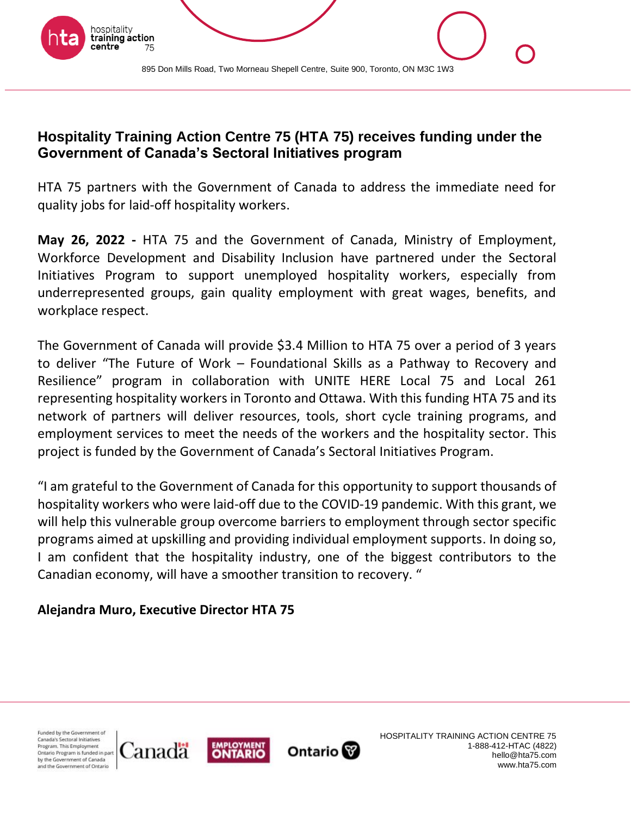

# **Hospitality Training Action Centre 75 (HTA 75) receives funding under the Government of Canada's Sectoral Initiatives program**

HTA 75 partners with the Government of Canada to address the immediate need for quality jobs for laid-off hospitality workers.

**May 26, 2022 -** HTA 75 and the Government of Canada, Ministry of Employment, Workforce Development and Disability Inclusion have partnered under the Sectoral Initiatives Program to support unemployed hospitality workers, especially from underrepresented groups, gain quality employment with great wages, benefits, and workplace respect.

The Government of Canada will provide \$3.4 Million to HTA 75 over a period of 3 years to deliver "The Future of Work – Foundational Skills as a Pathway to Recovery and Resilience" program in collaboration with UNITE HERE Local 75 and Local 261 representing hospitality workers in Toronto and Ottawa. With this funding HTA 75 and its network of partners will deliver resources, tools, short cycle training programs, and employment services to meet the needs of the workers and the hospitality sector. This project is funded by the Government of Canada's Sectoral Initiatives Program.

"I am grateful to the Government of Canada for this opportunity to support thousands of hospitality workers who were laid-off due to the COVID-19 pandemic. With this grant, we will help this vulnerable group overcome barriers to employment through sector specific programs aimed at upskilling and providing individual employment supports. In doing so, I am confident that the hospitality industry, one of the biggest contributors to the Canadian economy, will have a smoother transition to recovery. "

### **Alejandra Muro, Executive Director HTA 75**